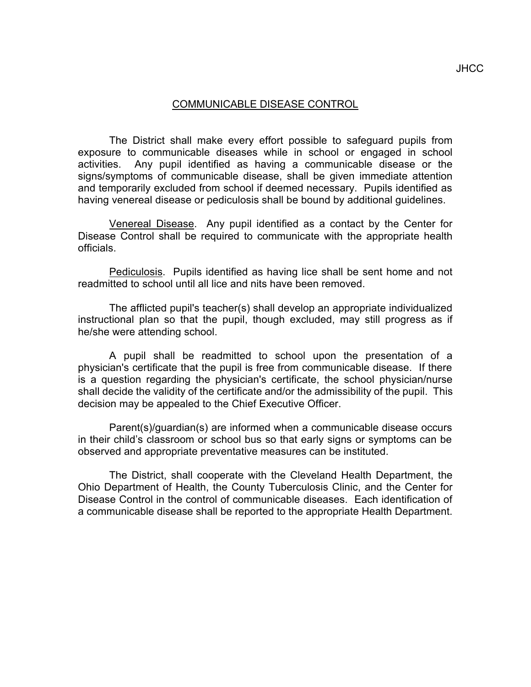## COMMUNICABLE DISEASE CONTROL

The District shall make every effort possible to safeguard pupils from exposure to communicable diseases while in school or engaged in school activities. Any pupil identified as having a communicable disease or the signs/symptoms of communicable disease, shall be given immediate attention and temporarily excluded from school if deemed necessary. Pupils identified as having venereal disease or pediculosis shall be bound by additional guidelines.

Venereal Disease. Any pupil identified as a contact by the Center for Disease Control shall be required to communicate with the appropriate health officials.

Pediculosis. Pupils identified as having lice shall be sent home and not readmitted to school until all lice and nits have been removed.

The afflicted pupil's teacher(s) shall develop an appropriate individualized instructional plan so that the pupil, though excluded, may still progress as if he/she were attending school.

A pupil shall be readmitted to school upon the presentation of a physician's certificate that the pupil is free from communicable disease. If there is a question regarding the physician's certificate, the school physician/nurse shall decide the validity of the certificate and/or the admissibility of the pupil. This decision may be appealed to the Chief Executive Officer.

Parent(s)/guardian(s) are informed when a communicable disease occurs in their child's classroom or school bus so that early signs or symptoms can be observed and appropriate preventative measures can be instituted.

The District, shall cooperate with the Cleveland Health Department, the Ohio Department of Health, the County Tuberculosis Clinic, and the Center for Disease Control in the control of communicable diseases. Each identification of a communicable disease shall be reported to the appropriate Health Department.